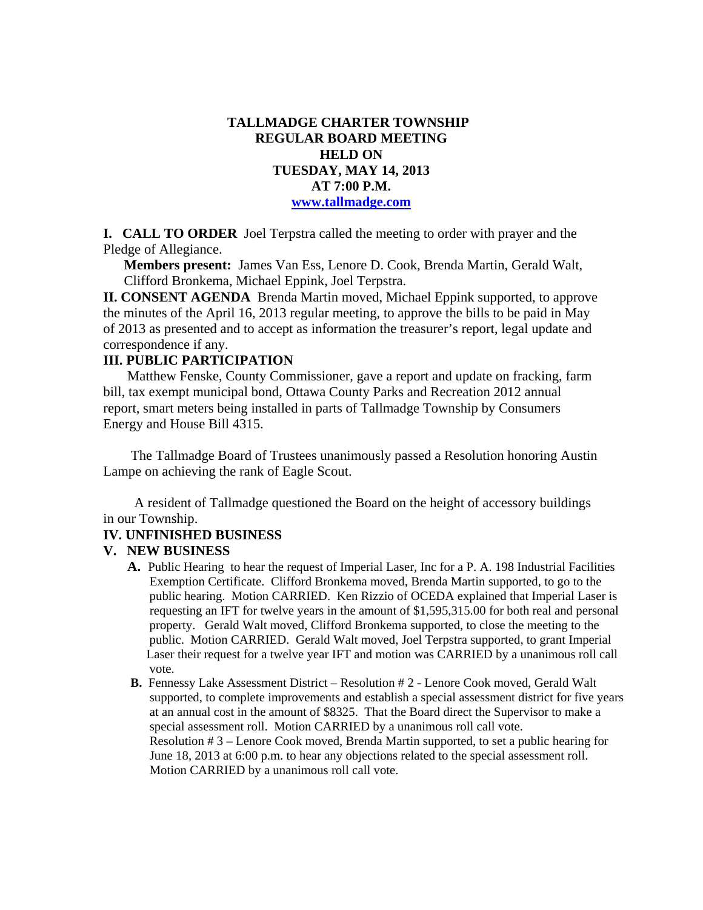# **TALLMADGE CHARTER TOWNSHIP REGULAR BOARD MEETING HELD ON TUESDAY, MAY 14, 2013 AT 7:00 P.M. www.tallmadge.com**

**I. CALL TO ORDER** Joel Terpstra called the meeting to order with prayer and the Pledge of Allegiance.

**Members present:** James Van Ess, Lenore D. Cook, Brenda Martin, Gerald Walt, Clifford Bronkema, Michael Eppink, Joel Terpstra.

**II. CONSENT AGENDA** Brenda Martin moved, Michael Eppink supported, to approve the minutes of the April 16, 2013 regular meeting, to approve the bills to be paid in May of 2013 as presented and to accept as information the treasurer's report, legal update and correspondence if any.

# **III. PUBLIC PARTICIPATION**

Matthew Fenske, County Commissioner, gave a report and update on fracking, farm bill, tax exempt municipal bond, Ottawa County Parks and Recreation 2012 annual report, smart meters being installed in parts of Tallmadge Township by Consumers Energy and House Bill 4315.

 The Tallmadge Board of Trustees unanimously passed a Resolution honoring Austin Lampe on achieving the rank of Eagle Scout.

 A resident of Tallmadge questioned the Board on the height of accessory buildings in our Township.

#### **IV. UNFINISHED BUSINESS**

#### **V. NEW BUSINESS**

- **A.** Public Hearing to hear the request of Imperial Laser, Inc for a P. A. 198 Industrial Facilities Exemption Certificate. Clifford Bronkema moved, Brenda Martin supported, to go to the public hearing. Motion CARRIED. Ken Rizzio of OCEDA explained that Imperial Laser is requesting an IFT for twelve years in the amount of \$1,595,315.00 for both real and personal property. Gerald Walt moved, Clifford Bronkema supported, to close the meeting to the public. Motion CARRIED. Gerald Walt moved, Joel Terpstra supported, to grant Imperial Laser their request for a twelve year IFT and motion was CARRIED by a unanimous roll call vote.
- **B.** Fennessy Lake Assessment District Resolution # 2 Lenore Cook moved, Gerald Walt supported, to complete improvements and establish a special assessment district for five years at an annual cost in the amount of \$8325. That the Board direct the Supervisor to make a special assessment roll. Motion CARRIED by a unanimous roll call vote. Resolution # 3 – Lenore Cook moved, Brenda Martin supported, to set a public hearing for June 18, 2013 at 6:00 p.m. to hear any objections related to the special assessment roll. Motion CARRIED by a unanimous roll call vote.